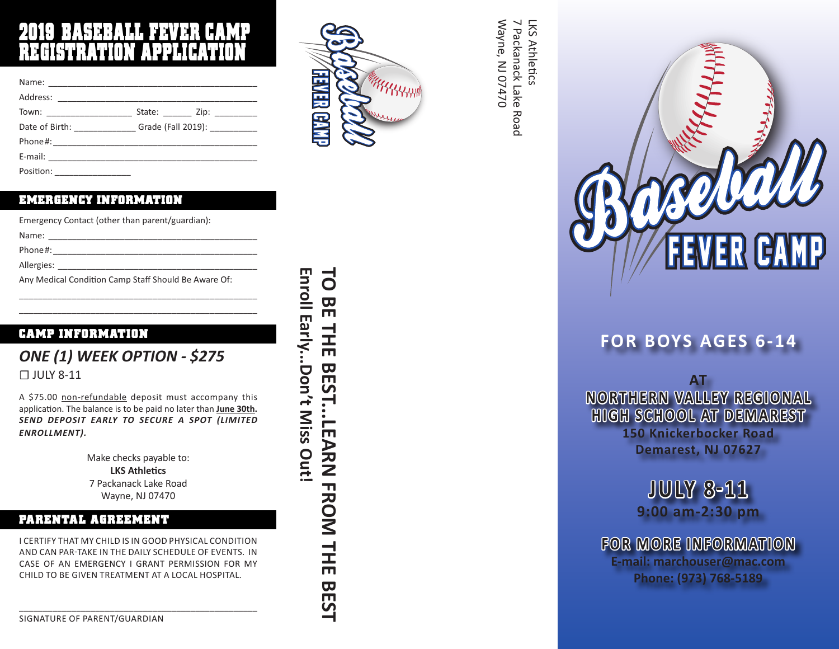# 2019 BASEBALL FEVER CAMP REGISTRATION APPLICATION

| Town: The contract of the contract of the contract of the contract of the contract of the contract of the contract of the contract of the contract of the contract of the contract of the contract of the contract of the cont | State: _______ Zip: _________               |
|--------------------------------------------------------------------------------------------------------------------------------------------------------------------------------------------------------------------------------|---------------------------------------------|
|                                                                                                                                                                                                                                | Date of Birth: Grade (Fall 2019): _________ |
|                                                                                                                                                                                                                                |                                             |
| E-mail: All and the second contract of the second contract of the second contract of the second contract of the                                                                                                                |                                             |
|                                                                                                                                                                                                                                |                                             |

| Position: |  |
|-----------|--|
|           |  |

#### EMERGENCY INFORMATION

| Emergency Contact (other than parent/guardian):      |
|------------------------------------------------------|
| Name:                                                |
| Phone#:                                              |
| Allergies:                                           |
| Any Medical Condition Camp Staff Should Be Aware Of: |

\_\_\_\_\_\_\_\_\_\_\_\_\_\_\_\_\_\_\_\_\_\_\_\_\_\_\_\_\_\_\_\_\_\_\_\_\_\_\_\_\_\_\_\_\_\_\_\_\_\_ \_\_\_\_\_\_\_\_\_\_\_\_\_\_\_\_\_\_\_\_\_\_\_\_\_\_\_\_\_\_\_\_\_\_\_\_\_\_\_\_\_\_\_\_\_\_\_\_\_\_

#### CAMP INFORMATION

### *ONE (1) WEEK OPTION - \$275* ☐ JULY 8-11

A \$75.00 non-refundable deposit must accompany this application. The balance is to be paid no later than **June 30th.**  *SEND DEPOSIT EARLY TO SECURE A SPOT (LIMITED ENROLLMENT).*

> Make checks payable to: **LKS Athletics** 7 Packanack Lake Road Wayne, NJ 07470

#### PARENTAL AGREEMENT

I CERTIFY THAT MY CHILD IS IN GOOD PHYSICAL CONDITION AND CAN PAR-TAKE IN THE DAILY SCHEDULE OF EVENTS. IN CASE OF AN EMERGENCY I GRANT PERMISSION FOR MY CHILD TO BE GIVEN TREATMENT AT A LOCAL HOSPITAL.

\_\_\_\_\_\_\_\_\_\_\_\_\_\_\_\_\_\_\_\_\_\_\_\_\_\_\_\_\_\_\_\_\_\_\_\_\_\_\_\_\_\_\_\_\_\_\_\_\_\_



**Enroll Early...Don't Miss Out!**

Enroll Early...Don't Miss Out

**TO BE THE BEST...LEARN FROM THE BEST**

**BEST...LEARN FROM THE** 

**BEST** 

 $\overline{a}$ 

BE THE

Wayne, NJ 07470 7 Packanack Lake Road **LKS Athletics** Wayne, NJ 07470 7 Packanack Lake Road LKS Athletics



## **FOR BOYS AGES 6-14**

**AT NORTHERN VALLEY REGIONAL HIGH SCHOOL AT DEMAREST 150 Knickerbocker Road Demarest, NJ 07627**

> **JULY 8-11 9:00 am-2:30 pm**

**FOR MORE INFORMATION E-mail: marchouser@mac.com Phone: (973) 768-5189**